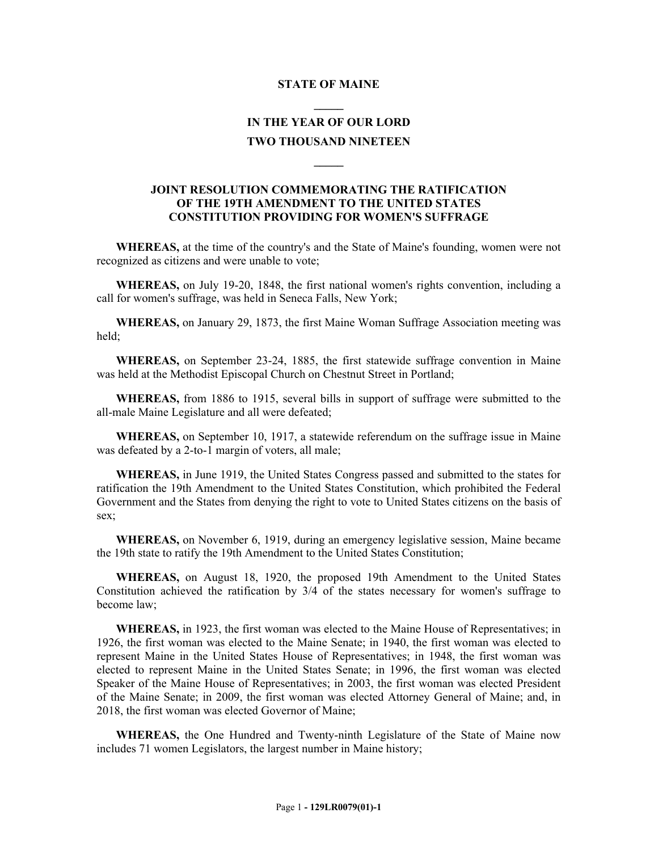## **STATE OF MAINE \_\_\_\_\_**

## **IN THE YEAR OF OUR LORD TWO THOUSAND NINETEEN**

**\_\_\_\_\_**

## **JOINT RESOLUTION COMMEMORATING THE RATIFICATION OF THE 19TH AMENDMENT TO THE UNITED STATES CONSTITUTION PROVIDING FOR WOMEN'S SUFFRAGE**

**WHEREAS,** at the time of the country's and the State of Maine's founding, women were not recognized as citizens and were unable to vote;

**WHEREAS,** on July 19-20, 1848, the first national women's rights convention, including a call for women's suffrage, was held in Seneca Falls, New York;

**WHEREAS,** on January 29, 1873, the first Maine Woman Suffrage Association meeting was held;

**WHEREAS,** on September 23-24, 1885, the first statewide suffrage convention in Maine was held at the Methodist Episcopal Church on Chestnut Street in Portland;

**WHEREAS,** from 1886 to 1915, several bills in support of suffrage were submitted to the all-male Maine Legislature and all were defeated;

**WHEREAS,** on September 10, 1917, a statewide referendum on the suffrage issue in Maine was defeated by a 2-to-1 margin of voters, all male;

**WHEREAS,** in June 1919, the United States Congress passed and submitted to the states for ratification the 19th Amendment to the United States Constitution, which prohibited the Federal Government and the States from denying the right to vote to United States citizens on the basis of sex;

**WHEREAS,** on November 6, 1919, during an emergency legislative session, Maine became the 19th state to ratify the 19th Amendment to the United States Constitution;

**WHEREAS,** on August 18, 1920, the proposed 19th Amendment to the United States Constitution achieved the ratification by 3/4 of the states necessary for women's suffrage to become law;

**WHEREAS,** in 1923, the first woman was elected to the Maine House of Representatives; in 1926, the first woman was elected to the Maine Senate; in 1940, the first woman was elected to represent Maine in the United States House of Representatives; in 1948, the first woman was elected to represent Maine in the United States Senate; in 1996, the first woman was elected Speaker of the Maine House of Representatives; in 2003, the first woman was elected President of the Maine Senate; in 2009, the first woman was elected Attorney General of Maine; and, in 2018, the first woman was elected Governor of Maine;

**WHEREAS,** the One Hundred and Twenty-ninth Legislature of the State of Maine now includes 71 women Legislators, the largest number in Maine history;